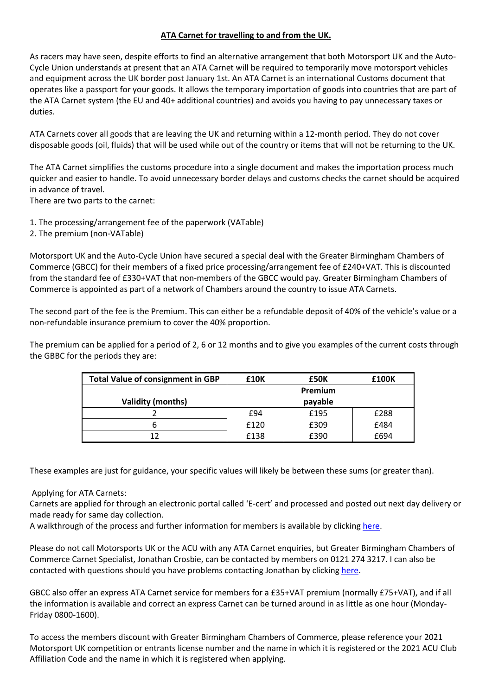### **ATA Carnet for travelling to and from the UK.**

As racers may have seen, despite efforts to find an alternative arrangement that both Motorsport UK and the Auto-Cycle Union understands at present that an ATA Carnet will be required to temporarily move motorsport vehicles and equipment across the UK border post January 1st. An ATA Carnet is an international Customs document that operates like a passport for your goods. It allows the temporary importation of goods into countries that are part of the ATA Carnet system (the EU and 40+ additional countries) and avoids you having to pay unnecessary taxes or duties.

ATA Carnets cover all goods that are leaving the UK and returning within a 12-month period. They do not cover disposable goods (oil, fluids) that will be used while out of the country or items that will not be returning to the UK.

The ATA Carnet simplifies the customs procedure into a single document and makes the importation process much quicker and easier to handle. To avoid unnecessary border delays and customs checks the carnet should be acquired in advance of travel.

There are two parts to the carnet:

- 1. The processing/arrangement fee of the paperwork (VATable)
- 2. The premium (non-VATable)

Motorsport UK and the Auto-Cycle Union have secured a special deal with the Greater Birmingham Chambers of Commerce (GBCC) for their members of a fixed price processing/arrangement fee of £240+VAT. This is discounted from the standard fee of £330+VAT that non-members of the GBCC would pay. Greater Birmingham Chambers of Commerce is appointed as part of a network of Chambers around the country to issue ATA Carnets.

The second part of the fee is the Premium. This can either be a refundable deposit of 40% of the vehicle's value or a non-refundable insurance premium to cover the 40% proportion.

The premium can be applied for a period of 2, 6 or 12 months and to give you examples of the current costs through the GBBC for the periods they are:

| <b>Total Value of consignment in GBP</b> | <b>£10K</b> | £50K    | £100K |
|------------------------------------------|-------------|---------|-------|
|                                          |             | Premium |       |
| <b>Validity (months)</b>                 |             | payable |       |
|                                          | £94         | £195    | £288  |
| ь                                        | £120        | £309    | £484  |
| 12                                       | £138        | £390    | £694  |

These examples are just for guidance, your specific values will likely be between these sums (or greater than).

# Applying for ATA Carnets:

Carnets are applied for through an electronic portal called 'E-cert' and processed and posted out next day delivery or made ready for same day collection.

A walkthrough of the process and further information for members is available by clicking [here.](https://www.greaterbirminghamchambers.com/international-business-hub/export-documentation/ata-carnets/#4)

Please do not call Motorsports UK or the ACU with any ATA Carnet enquiries, but Greater Birmingham Chambers of Commerce Carnet Specialist, Jonathan Crosbie, can be contacted by members on 0121 274 3217. I can also be contacted with questions should you have problems contacting Jonathan by clicking [here.](mailto:ian@kingracing.com)

GBCC also offer an express ATA Carnet service for members for a £35+VAT premium (normally £75+VAT), and if all the information is available and correct an express Carnet can be turned around in as little as one hour (Monday-Friday 0800-1600).

To access the members discount with Greater Birmingham Chambers of Commerce, please reference your 2021 Motorsport UK competition or entrants license number and the name in which it is registered or the 2021 ACU Club Affiliation Code and the name in which it is registered when applying.